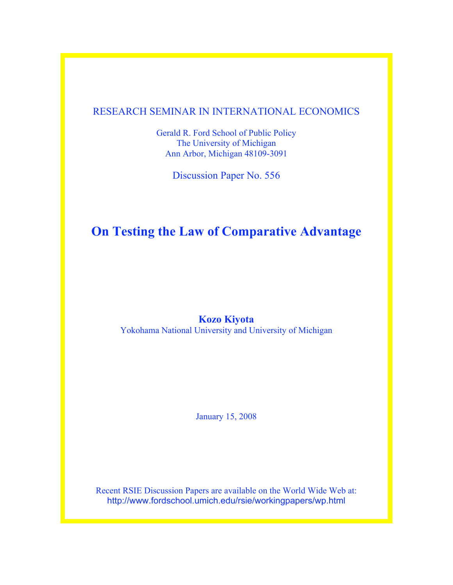## RESEARCH SEMINAR IN INTERNATIONAL ECONOMICS

Gerald R. Ford School of Public Policy The University of Michigan Ann Arbor, Michigan 48109-3091

Discussion Paper No. 556

# **On Testing the Law of Comparative Advantage**

## **Kozo Kiyota**

Yokohama National University and University of Michigan

January 15, 2008

Recent RSIE Discussion Papers are available on the World Wide Web at: http://www.fordschool.umich.edu/rsie/workingpapers/wp.html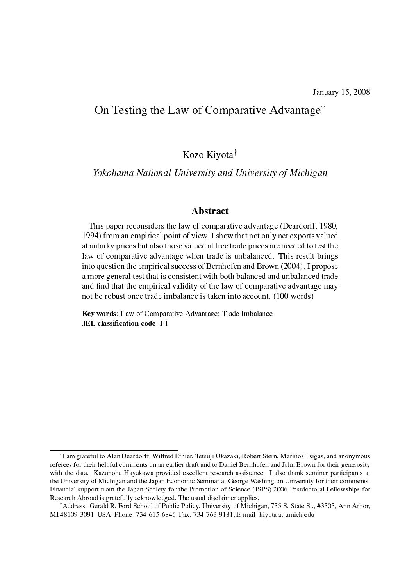# On Testing the Law of Comparative Advantage<sup>\*</sup>

Kozo Kiyota<sup>†</sup>

Yokohama National University and University of Michigan

## **Abstract**

This paper reconsiders the law of comparative advantage (Deardorff, 1980, 1994) from an empirical point of view. I show that not only net exports valued at autarky prices but also those valued at free trade prices are needed to test the law of comparative advantage when trade is unbalanced. This result brings into question the empirical success of Bernhofen and Brown (2004). I propose a more general test that is consistent with both balanced and unbalanced trade and find that the empirical validity of the law of comparative advantage may not be robust once trade imbalance is taken into account. (100 words)

Key words: Law of Comparative Advantage; Trade Imbalance **JEL** classification code: F1

<sup>\*</sup>I am grateful to Alan Deardorff, Wilfred Ethier, Tetsuji Okazaki, Robert Stern, Marinos Tsigas, and anonymous referees for their helpful comments on an earlier draft and to Daniel Bernhofen and John Brown for their generosity with the data. Kazunobu Hayakawa provided excellent research assistance. I also thank seminar participants at the University of Michigan and the Japan Economic Seminar at George Washington University for their comments. Financial support from the Japan Society for the Promotion of Science (JSPS) 2006 Postdoctoral Fellowships for Research Abroad is gratefully acknowledged. The usual disclaimer applies.

Address: Gerald R. Ford School of Public Policy, University of Michigan, 735 S. State St., #3303, Ann Arbor, MI 48109-3091, USA; Phone: 734-615-6846; Fax: 734-763-9181; E-mail: kiyota at umich.edu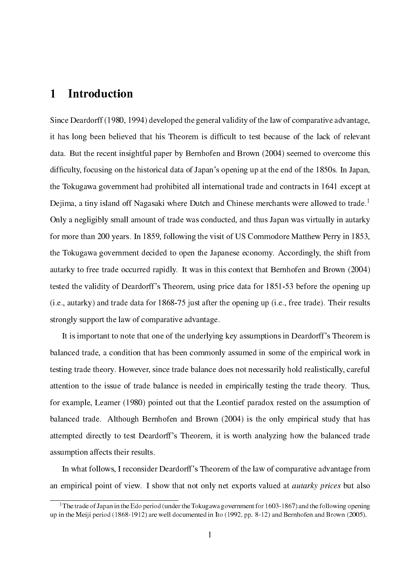### **Introduction** 1

Since Deardorff (1980, 1994) developed the general validity of the law of comparative advantage, it has long been believed that his Theorem is difficult to test because of the lack of relevant data. But the recent insightful paper by Bernhofen and Brown (2004) seemed to overcome this difficulty, focusing on the historical data of Japan's opening up at the end of the 1850s. In Japan, the Tokugawa government had prohibited all international trade and contracts in 1641 except at Dejima, a tiny island off Nagasaki where Dutch and Chinese merchants were allowed to trade.<sup>1</sup> Only a negligibly small amount of trade was conducted, and thus Japan was virtually in autarky for more than 200 years. In 1859, following the visit of US Commodore Matthew Perry in 1853, the Tokugawa government decided to open the Japanese economy. Accordingly, the shift from autarky to free trade occurred rapidly. It was in this context that Bernhofen and Brown (2004) tested the validity of Deardorff's Theorem, using price data for 1851-53 before the opening up (i.e., autarky) and trade data for 1868-75 just after the opening up (i.e., free trade). Their results strongly support the law of comparative advantage.

It is important to note that one of the underlying key assumptions in Deardorff's Theorem is balanced trade, a condition that has been commonly assumed in some of the empirical work in testing trade theory. However, since trade balance does not necessarily hold realistically, careful attention to the issue of trade balance is needed in empirically testing the trade theory. Thus, for example, Leamer (1980) pointed out that the Leontief paradox rested on the assumption of balanced trade. Although Bernhofen and Brown (2004) is the only empirical study that has attempted directly to test Deardorff's Theorem, it is worth analyzing how the balanced trade assumption affects their results.

In what follows, I reconsider Deardorff's Theorem of the law of comparative advantage from an empirical point of view. I show that not only net exports valued at *autarky prices* but also

<sup>&</sup>lt;sup>1</sup>The trade of Japan in the Edo period (under the Tokugawa government for 1603-1867) and the following opening up in the Meiji period (1868-1912) are well documented in Ito (1992, pp. 8-12) and Bernhofen and Brown (2005).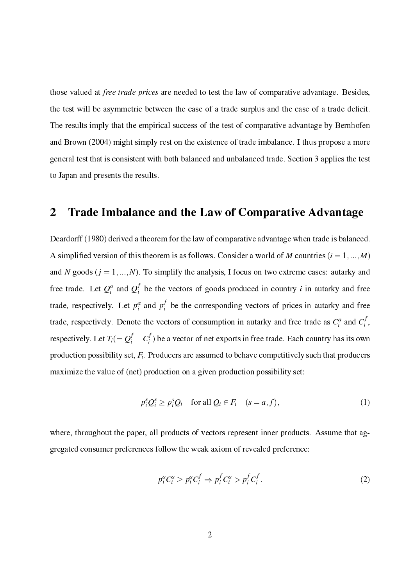those valued at *free trade prices* are needed to test the law of comparative advantage. Besides, the test will be asymmetric between the case of a trade surplus and the case of a trade deficit. The results imply that the empirical success of the test of comparative advantage by Bernhofen and Brown (2004) might simply rest on the existence of trade imbalance. I thus propose a more general test that is consistent with both balanced and unbalanced trade. Section 3 applies the test to Japan and presents the results.

### $\overline{2}$ Trade Imbalance and the Law of Comparative Advantage

Deardorff (1980) derived a theorem for the law of comparative advantage when trade is balanced. A simplified version of this theorem is as follows. Consider a world of M countries  $(i = 1, ..., M)$ and N goods  $(j = 1, ..., N)$ . To simplify the analysis, I focus on two extreme cases: autarky and free trade. Let  $Q_i^a$  and  $Q_i^f$  be the vectors of goods produced in country *i* in autarky and free trade, respectively. Let  $p_i^a$  and  $p_i^f$  be the corresponding vectors of prices in autarky and free trade, respectively. Denote the vectors of consumption in autarky and free trade as  $C_i^a$  and  $C_i^f$ , respectively. Let  $T_i = Q_i^f - C_i^f$  be a vector of net exports in free trade. Each country has its own production possibility set,  $F_i$ . Producers are assumed to behave competitively such that producers maximize the value of (net) production on a given production possibility set:

$$
p_i^s Q_i^s \ge p_i^s Q_i \quad \text{for all } Q_i \in F_i \quad (s = a, f), \tag{1}
$$

where, throughout the paper, all products of vectors represent inner products. Assume that aggregated consumer preferences follow the weak axiom of revealed preference:

$$
p_i^a C_i^a \ge p_i^a C_i^f \Rightarrow p_i^f C_i^a > p_i^f C_i^f. \tag{2}
$$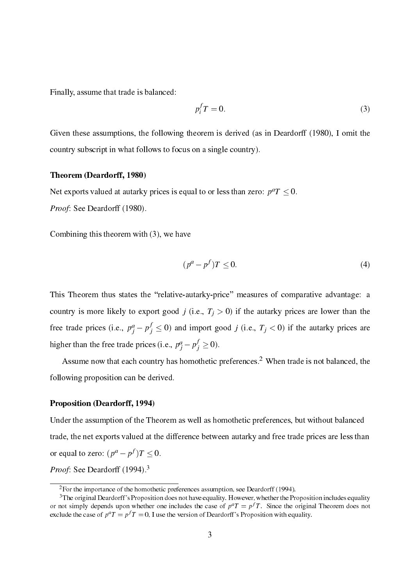Finally, assume that trade is balanced:

$$
p_i^f T = 0. \tag{3}
$$

Given these assumptions, the following theorem is derived (as in Deardorff (1980), I omit the country subscript in what follows to focus on a single country).

### Theorem (Deardorff, 1980)

Net exports valued at autarky prices is equal to or less than zero:  $p^a T \le 0$ .

Proof: See Deardorff (1980).

Combining this theorem with (3), we have

$$
(p^a - p^f)T \le 0. \tag{4}
$$

This Theorem thus states the "relative-autarky-price" measures of comparative advantage: a country is more likely to export good j (i.e.,  $T_i > 0$ ) if the autarky prices are lower than the free trade prices (i.e.,  $p_j^a - p_j^f \le 0$ ) and import good j (i.e.,  $T_j < 0$ ) if the autarky prices are higher than the free trade prices (i.e.,  $p_i^a - p_i^f \ge 0$ ).

Assume now that each country has homothetic preferences.<sup>2</sup> When trade is not balanced, the following proposition can be derived.

### **Proposition (Deardorff, 1994)**

Under the assumption of the Theorem as well as homothetic preferences, but without balanced trade, the net exports valued at the difference between autarky and free trade prices are less than or equal to zero:  $(p^a - p^f)T < 0$ .

*Proof:* See Deardorff (1994).<sup>3</sup>

 ${}^{2}$ For the importance of the homothetic preferences assumption, see Deardorff (1994).

<sup>&</sup>lt;sup>3</sup>The original Deardorff's Proposition does not have equality. However, whether the Proposition includes equality or not simply depends upon whether one includes the case of  $p^aT = p^fT$ . Since the original Theorem does not exclude the case of  $p^a T = p^f T = 0$ . I use the version of Deardorff's Proposition with equality.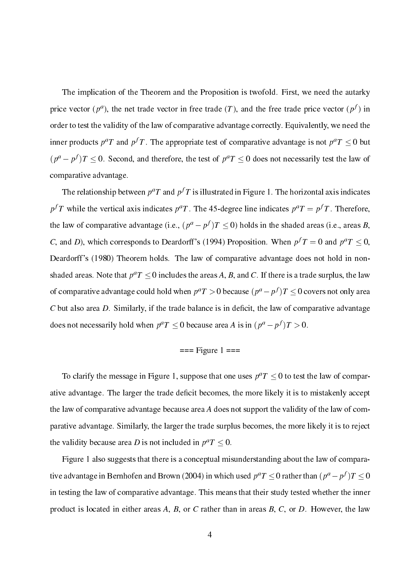The implication of the Theorem and the Proposition is twofold. First, we need the autarky price vector  $(p^a)$ , the net trade vector in free trade (T), and the free trade price vector  $(p^f)$  in order to test the validity of the law of comparative advantage correctly. Equivalently, we need the inner products  $p^a T$  and  $p^f T$ . The appropriate test of comparative advantage is not  $p^a T \le 0$  but  $(p^a - p^f)T \le 0$ . Second, and therefore, the test of  $p^aT \le 0$  does not necessarily test the law of comparative advantage.

The relationship between  $p^a T$  and  $p^f T$  is illustrated in Figure 1. The horizontal axis indicates  $p<sup>f</sup>T$  while the vertical axis indicates  $p<sup>a</sup>T$ . The 45-degree line indicates  $p<sup>a</sup>T = p<sup>f</sup>T$ . Therefore, the law of comparative advantage (i.e.,  $(p^a - p^f)T \le 0$ ) holds in the shaded areas (i.e., areas B, C, and D), which corresponds to Deardorff's (1994) Proposition. When  $p^fT = 0$  and  $p^aT \le 0$ , Deardorff's (1980) Theorem holds. The law of comparative advantage does not hold in nonshaded areas. Note that  $p^aT \le 0$  includes the areas A, B, and C. If there is a trade surplus, the law of comparative advantage could hold when  $p^aT > 0$  because  $(p^a - p^f)T \leq 0$  covers not only area  $C$  but also area  $D$ . Similarly, if the trade balance is in deficit, the law of comparative advantage does not necessarily hold when  $p^aT \le 0$  because area A is in  $(p^a - p^f)T > 0$ .

$$
=
$$
 = Figure 1  $=$ 

To clarify the message in Figure 1, suppose that one uses  $p^aT \le 0$  to test the law of comparative advantage. The larger the trade deficit becomes, the more likely it is to mistakenly accept the law of comparative advantage because area A does not support the validity of the law of comparative advantage. Similarly, the larger the trade surplus becomes, the more likely it is to reject the validity because area D is not included in  $p^a T \le 0$ .

Figure 1 also suggests that there is a conceptual misunderstanding about the law of comparative advantage in Bernhofen and Brown (2004) in which used  $p^aT \le 0$  rather than  $(p^a - p^f)T \le 0$ in testing the law of comparative advantage. This means that their study tested whether the inner product is located in either areas A, B, or C rather than in areas B, C, or D. However, the law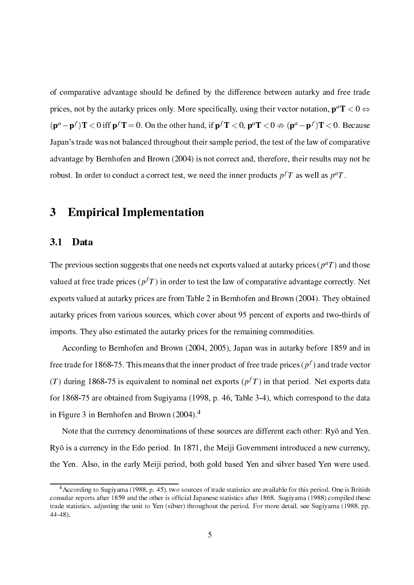of comparative advantage should be defined by the difference between autarky and free trade prices, not by the autarky prices only. More specifically, using their vector notation,  $p^aT < 0 \Leftrightarrow$  $(\mathbf{p}^a - \mathbf{p}^f)$ **T** < 0 iff  $\mathbf{p}^f$ **T** = 0. On the other hand, if  $\mathbf{p}^f$ **T** < 0,  $\mathbf{p}^a$ **T** < 0  $\#$   $(\mathbf{p}^a - \mathbf{p}^f)$ **T** < 0. Because Japan's trade was not balanced throughout their sample period, the test of the law of comparative advantage by Bernhofen and Brown (2004) is not correct and, therefore, their results may not be robust. In order to conduct a correct test, we need the inner products  $p^f T$  as well as  $p^a T$ .

### $\overline{\mathbf{3}}$ **Empirical Implementation**

#### $3.1$ Data

The previous section suggests that one needs net exports valued at autarky prices  $(p^a T)$  and those valued at free trade prices  $(p<sup>f</sup>T)$  in order to test the law of comparative advantage correctly. Net exports valued at autarky prices are from Table 2 in Bernhofen and Brown (2004). They obtained autarky prices from various sources, which cover about 95 percent of exports and two-thirds of imports. They also estimated the autarky prices for the remaining commodities.

According to Bernhofen and Brown (2004, 2005), Japan was in autarky before 1859 and in free trade for 1868-75. This means that the inner product of free trade prices ( $p<sup>f</sup>$ ) and trade vector (T) during 1868-75 is equivalent to nominal net exports ( $p<sup>f</sup>T$ ) in that period. Net exports data for 1868-75 are obtained from Sugiyama (1998, p. 46, Table 3-4), which correspond to the data in Figure 3 in Bernhofen and Brown  $(2004).<sup>4</sup>$ 

Note that the currency denominations of these sources are different each other: Ryō and Yen. Ryō is a currency in the Edo period. In 1871, the Meiji Government introduced a new currency, the Yen. Also, in the early Meiji period, both gold based Yen and silver based Yen were used.

<sup>&</sup>lt;sup>4</sup> According to Sugiyama (1988, p. 45), two sources of trade statistics are available for this period. One is British consular reports after 1859 and the other is official Japanese statistics after 1868. Sugiyama (1988) compiled these trade statistics, adjusting the unit to Yen (silver) throughout the period. For more detail, see Sugiyama (1988, pp.  $44-48$ ).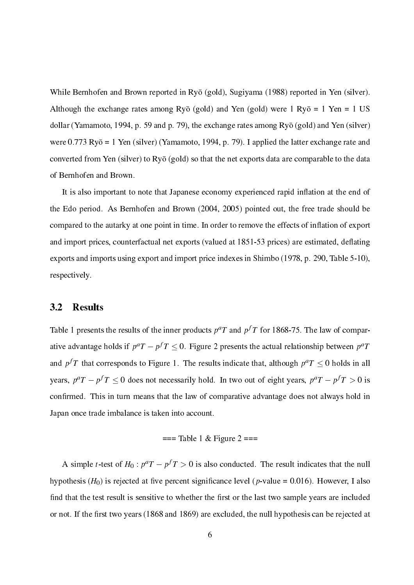While Bernhofen and Brown reported in Ryō (gold), Sugiyama (1988) reported in Yen (silver). Although the exchange rates among Ryō (gold) and Yen (gold) were 1 Ryō = 1 Yen = 1 US dollar (Yamamoto, 1994, p. 59 and p. 79), the exchange rates among  $Rv\bar{o}$  (gold) and Yen (silver) were  $0.773 \text{ Rv\bar{0}} = 1 \text{ Yen (silver)}$  (Yamamoto, 1994, p. 79). I applied the latter exchange rate and converted from Yen (silver) to Ryō (gold) so that the net exports data are comparable to the data of Bernhofen and Brown.

It is also important to note that Japanese economy experienced rapid inflation at the end of the Edo period. As Bernhofen and Brown (2004, 2005) pointed out, the free trade should be compared to the autarky at one point in time. In order to remove the effects of inflation of export and import prices, counterfactual net exports (valued at 1851-53 prices) are estimated, deflating exports and imports using export and import price indexes in Shimbo (1978, p. 290, Table 5-10), respectively.

#### $3.2$ **Results**

Table 1 presents the results of the inner products  $p^a T$  and  $p^f T$  for 1868-75. The law of comparative advantage holds if  $p^aT - p^fT \le 0$ . Figure 2 presents the actual relationship between  $p^aT$ and  $p^f T$  that corresponds to Figure 1. The results indicate that, although  $p^a T \le 0$  holds in all years,  $p^aT - p^fT \le 0$  does not necessarily hold. In two out of eight years,  $p^aT - p^fT > 0$  is confirmed. This in turn means that the law of comparative advantage does not always hold in Japan once trade imbalance is taken into account.

$$
=
$$
 = Table 1 & Figure 2  $=$ 

A simple *t*-test of  $H_0: p^aT - p^fT > 0$  is also conducted. The result indicates that the null hypothesis ( $H_0$ ) is rejected at five percent significance level (p-value = 0.016). However, I also find that the test result is sensitive to whether the first or the last two sample years are included or not. If the first two years (1868 and 1869) are excluded, the null hypothesis can be rejected at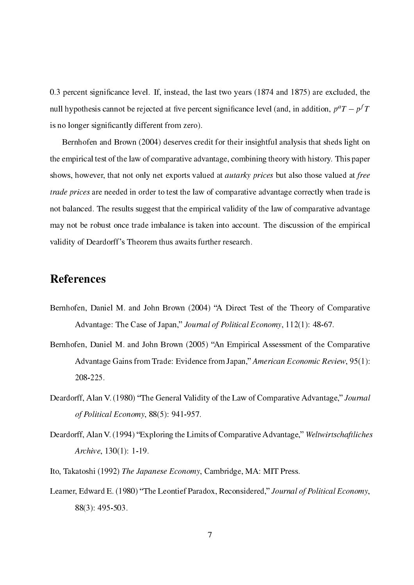0.3 percent significance level. If, instead, the last two years (1874 and 1875) are excluded, the null hypothesis cannot be rejected at five percent significance level (and, in addition,  $p^aT - p^fT$ is no longer significantly different from zero).

Bernhofen and Brown (2004) deserves credit for their insightful analysis that sheds light on the empirical test of the law of comparative advantage, combining theory with history. This paper shows, however, that not only net exports valued at *autarky prices* but also those valued at free *trade prices* are needed in order to test the law of comparative advantage correctly when trade is not balanced. The results suggest that the empirical validity of the law of comparative advantage may not be robust once trade imbalance is taken into account. The discussion of the empirical validity of Deardorff's Theorem thus awaits further research.

# **References**

- Bernhofen, Daniel M. and John Brown (2004) "A Direct Test of the Theory of Comparative Advantage: The Case of Japan," Journal of Political Economy, 112(1): 48-67.
- Bernhofen, Daniel M. and John Brown (2005) "An Empirical Assessment of the Comparative Advantage Gains from Trade: Evidence from Japan," American Economic Review, 95(1): 208-225.
- Deardorff, Alan V. (1980) "The General Validity of the Law of Comparative Advantage," Journal of Political Economy, 88(5): 941-957.
- Deardorff, Alan V. (1994) "Exploring the Limits of Comparative Advantage," Weltwirtschaftliches *Archive*, 130(1): 1-19.
- Ito, Takatoshi (1992) The Japanese Economy, Cambridge, MA: MIT Press.
- Leamer, Edward E. (1980) "The Leontief Paradox, Reconsidered," Journal of Political Economy, 88(3): 495-503.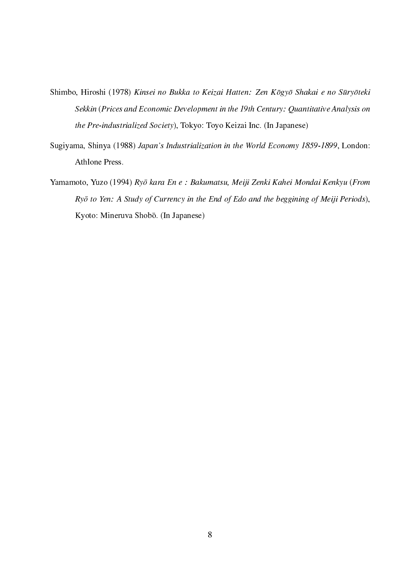- Shimbo, Hiroshi (1978) Kinsei no Bukka to Keizai Hatten: Zen Kōgyō Shakai e no Sūryōteki Sekkin (Prices and Economic Development in the 19th Century: Quantitative Analysis on the Pre-industrialized Society), Tokyo: Toyo Keizai Inc. (In Japanese)
- Sugiyama, Shinya (1988) Japan's Industrialization in the World Economy 1859-1899, London: Athlone Press.
- Yamamoto, Yuzo (1994) Ryō kara En e : Bakumatsu, Meiji Zenki Kahei Mondai Kenkyu (From Ryō to Yen: A Study of Currency in the End of Edo and the beggining of Meiji Periods), Kyoto: Mineruva Shobō. (In Japanese)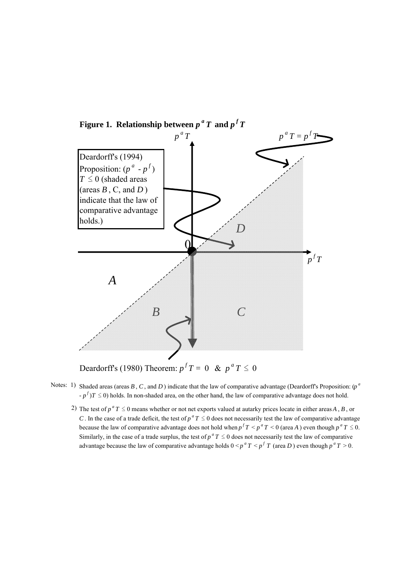

Deardorff's (1980) Theorem:  $p^f T = 0 \& p^a T \le 0$ 

- Notes: 1) Shaded areas (areas  $B, C$ , and  $D$ ) indicate that the law of comparative advantage (Deardorff's Proposition:  $(p^a)$  $-p^{f}$ ) $T \le 0$ ) holds. In non-shaded area, on the other hand, the law of comparative advantage does not hold.
- 2) The test of  $p^a T \le 0$  means whether or not net exports valued at autarky prices locate in either areas *A*, *B*, or *C*. In the case of a trade deficit, the test of  $p^a T \le 0$  does not necessarily test the law of comparative advantage because the law of comparative advantage does not hold when  $p^f T \leq p^a T \leq 0$  (area *A*) even though  $p^a T \leq 0$ . Similarly, in the case of a trade surplus, the test of  $p^a T \leq 0$  does not necessarily test the law of comparative advantage because the law of comparative advantage holds  $0 \le p^a T \le p^f T$  (area *D*) even though  $p^a T > 0$ .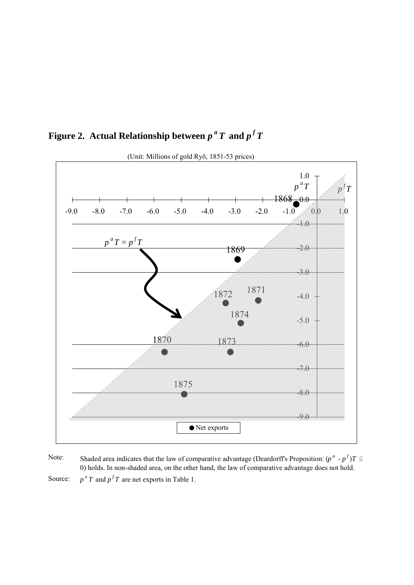



Note: Source:  $p^a T$  and  $p^f T$  are net exports in Table 1. Shaded area indicates that the law of comparative advantage (Deardorff's Proposition:  $(p^a \cdot p^f)T \leq$ 0) holds. In non-shaded area, on the other hand, the law of comparative advantage does not hold.

(Unit: Millions of gold Ryō, 1851-53 prices)